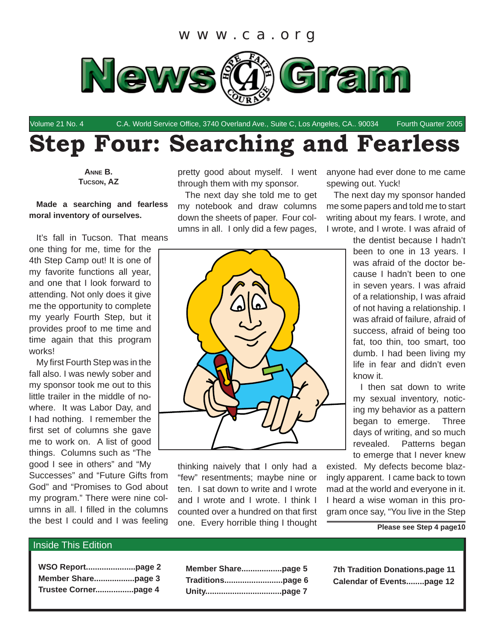

Volume 21 No. 4 C.A. World Service Office, 3740 Overland Ave., Suite C, Los Angeles, CA.. 90034 Fourth Quarter 2005

# **Step Four: Searching and Fearless**

**ANNE B. TUCSON, AZ**

## **Made a searching and fearless moral inventory of ourselves.**

It's fall in Tucson. That means

one thing for me, time for the 4th Step Camp out! It is one of my favorite functions all year, and one that I look forward to attending. Not only does it give me the opportunity to complete my yearly Fourth Step, but it provides proof to me time and time again that this program works!

My first Fourth Step was in the fall also. I was newly sober and my sponsor took me out to this little trailer in the middle of nowhere. It was Labor Day, and I had nothing. I remember the first set of columns she gave me to work on. A list of good things. Columns such as "The good I see in others" and "My

Successes" and "Future Gifts from God" and "Promises to God about my program." There were nine columns in all. I filled in the columns the best I could and I was feeling

pretty good about myself. I went through them with my sponsor.

The next day she told me to get my notebook and draw columns down the sheets of paper. Four columns in all. I only did a few pages,



thinking naively that I only had a "few" resentments; maybe nine or ten. I sat down to write and I wrote and I wrote and I wrote. I think I counted over a hundred on that first one. Every horrible thing I thought anyone had ever done to me came spewing out. Yuck!

The next day my sponsor handed me some papers and told me to start writing about my fears. I wrote, and I wrote, and I wrote. I was afraid of

> the dentist because I hadn't been to one in 13 years. I was afraid of the doctor because I hadn't been to one in seven years. I was afraid of a relationship, I was afraid of not having a relationship. I was afraid of failure, afraid of success, afraid of being too fat, too thin, too smart, too dumb. I had been living my life in fear and didn't even know it.

> I then sat down to write my sexual inventory, noticing my behavior as a pattern began to emerge. Three days of writing, and so much revealed. Patterns began to emerge that I never knew

existed. My defects become blazingly apparent. I came back to town mad at the world and everyone in it. I heard a wise woman in this program once say, "You live in the Step

#### **Please see Step 4 page10**

#### Inside This Edition

| Trustee Cornerpage 4 |  |
|----------------------|--|

**7th Tradition Donations.page 11 Calendar of Events........page 12**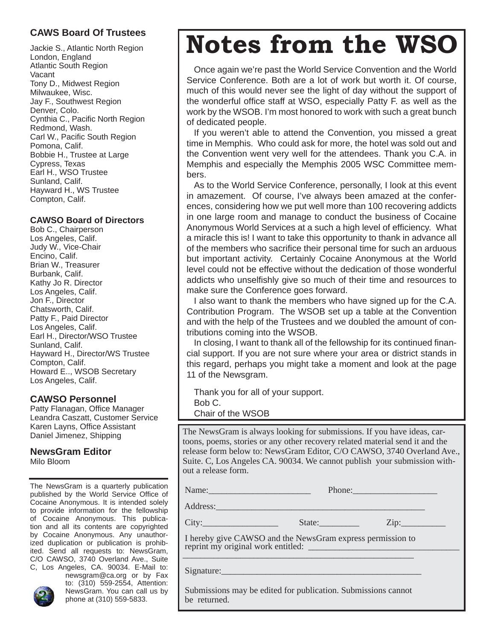# **CAWS Board Of Trustees**

Jackie S., Atlantic North Region London, England Atlantic South Region Vacant Tony D., Midwest Region Milwaukee, Wisc. Jay F., Southwest Region Denver, Colo. Cynthia C., Pacific North Region Redmond, Wash. Carl W., Pacific South Region Pomona, Calif. Bobbie H., Trustee at Large Cypress, Texas Earl H., WSO Trustee Sunland, Calif. Hayward H., WS Trustee Compton, Calif.

## **CAWSO Board of Directors**

Bob C., Chairperson Los Angeles, Calif. Judy W., Vice-Chair Encino, Calif. Brian W., Treasurer Burbank, Calif. Kathy Jo R. Director Los Angeles, Calif. Jon F., Director Chatsworth, Calif. Patty F., Paid Director Los Angeles, Calif. Earl H., Director/WSO Trustee Sunland, Calif. Hayward H., Director/WS Trustee Compton, Calif. Howard E.., WSOB Secretary Los Angeles, Calif.

## **CAWSO Personnel**

Patty Flanagan, Office Manager Leandra Caszatt, Customer Service Karen Layns, Office Assistant Daniel Jimenez, Shipping

## **NewsGram Editor**

Milo Bloom

The NewsGram is a quarterly publication published by the World Service Office of Cocaine Anonymous. It is intended solely to provide information for the fellowship of Cocaine Anonymous. This publication and all its contents are copyrighted by Cocaine Anonymous. Any unauthorized duplication or publication is prohibited. Send all requests to: NewsGram, C/O CAWSO, 3740 Overland Ave., Suite C, Los Angeles, CA. 90034. E-Mail to:



newsgram@ca.org or by Fax to: (310) 559-2554, Attention: NewsGram. You can call us by phone at (310) 559-5833.

# **Notes from the WSO**

Once again we're past the World Service Convention and the World Service Conference. Both are a lot of work but worth it. Of course, much of this would never see the light of day without the support of the wonderful office staff at WSO, especially Patty F. as well as the work by the WSOB. I'm most honored to work with such a great bunch of dedicated people.

If you weren't able to attend the Convention, you missed a great time in Memphis. Who could ask for more, the hotel was sold out and the Convention went very well for the attendees. Thank you C.A. in Memphis and especially the Memphis 2005 WSC Committee members.

As to the World Service Conference, personally, I look at this event in amazement. Of course, I've always been amazed at the conferences, considering how we put well more than 100 recovering addicts in one large room and manage to conduct the business of Cocaine Anonymous World Services at a such a high level of efficiency. What a miracle this is! I want to take this opportunity to thank in advance all of the members who sacrifice their personal time for such an arduous but important activity. Certainly Cocaine Anonymous at the World level could not be effective without the dedication of those wonderful addicts who unselfishly give so much of their time and resources to make sure the Conference goes forward.

I also want to thank the members who have signed up for the C.A. Contribution Program. The WSOB set up a table at the Convention and with the help of the Trustees and we doubled the amount of contributions coming into the WSOB.

In closing, I want to thank all of the fellowship for its continued financial support. If you are not sure where your area or district stands in this regard, perhaps you might take a moment and look at the page 11 of the Newsgram.

Thank you for all of your support. Bob C. Chair of the WSOB

The NewsGram is always looking for submissions. If you have ideas, cartoons, poems, stories or any other recovery related material send it and the release form below to: NewsGram Editor, C/O CAWSO, 3740 Overland Ave., Suite. C, Los Angeles CA. 90034. We cannot publish your submission without a release form.

Name: Name: Phone: Phone: Phone: Phone: Phone: Phone: 2014

Address:\_\_\_\_\_\_\_\_\_\_\_\_\_\_\_\_\_\_\_\_\_\_\_\_\_\_\_\_\_\_\_\_\_\_\_\_\_\_\_\_\_\_\_\_\_\_\_

 $City:$  State: State: Zip:

 I hereby give CAWSO and the NewsGram express permission to reprint my original work entitled: \_  $\overbrace{\phantom{xxxxx}}^{x}$ 

Signature:

 Submissions may be edited for publication. Submissions cannot be returned.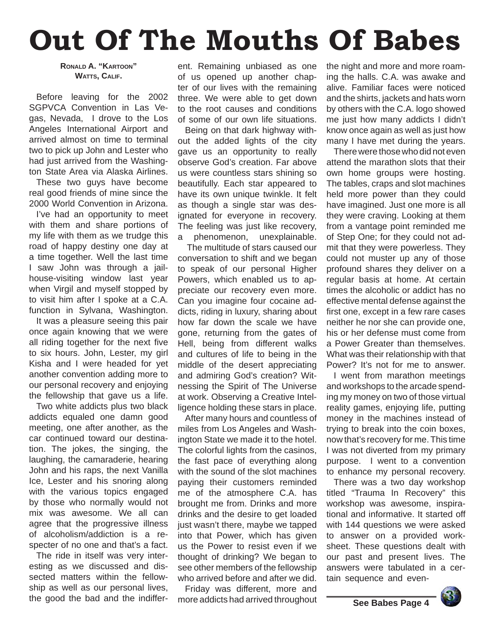# **Out Of The Mouths Of Babes**

## **RONALD A. "KARTOON" WATTS, CALIF.**

Before leaving for the 2002 SGPVCA Convention in Las Vegas, Nevada, I drove to the Los Angeles International Airport and arrived almost on time to terminal two to pick up John and Lester who had just arrived from the Washington State Area via Alaska Airlines.

These two guys have become real good friends of mine since the 2000 World Convention in Arizona.

I've had an opportunity to meet with them and share portions of my life with them as we trudge this road of happy destiny one day at a time together. Well the last time I saw John was through a jailhouse-visiting window last year when Virgil and myself stopped by to visit him after I spoke at a C.A. function in Sylvana, Washington.

It was a pleasure seeing this pair once again knowing that we were all riding together for the next five to six hours. John, Lester, my girl Kisha and I were headed for yet another convention adding more to our personal recovery and enjoying the fellowship that gave us a life.

Two white addicts plus two black addicts equaled one damn good meeting, one after another, as the car continued toward our destination. The jokes, the singing, the laughing, the camaraderie, hearing John and his raps, the next Vanilla Ice, Lester and his snoring along with the various topics engaged by those who normally would not mix was awesome. We all can agree that the progressive illness of alcoholism/addiction is a respecter of no one and that's a fact.

The ride in itself was very interesting as we discussed and dissected matters within the fellowship as well as our personal lives, the good the bad and the indiffer-

ent. Remaining unbiased as one of us opened up another chapter of our lives with the remaining three. We were able to get down to the root causes and conditions of some of our own life situations.

Being on that dark highway without the added lights of the city gave us an opportunity to really observe God's creation. Far above us were countless stars shining so beautifully. Each star appeared to have its own unique twinkle. It felt as though a single star was designated for everyone in recovery. The feeling was just like recovery, a phenomenon, unexplainable.

 The multitude of stars caused our conversation to shift and we began to speak of our personal Higher Powers, which enabled us to appreciate our recovery even more. Can you imagine four cocaine addicts, riding in luxury, sharing about how far down the scale we have gone, returning from the gates of Hell, being from different walks and cultures of life to being in the middle of the desert appreciating and admiring God's creation? Witnessing the Spirit of The Universe at work. Observing a Creative Intelligence holding these stars in place.

After many hours and countless of miles from Los Angeles and Washington State we made it to the hotel. The colorful lights from the casinos, the fast pace of everything along with the sound of the slot machines paying their customers reminded me of the atmosphere C.A. has brought me from. Drinks and more drinks and the desire to get loaded just wasn't there, maybe we tapped into that Power, which has given us the Power to resist even if we thought of drinking? We began to see other members of the fellowship who arrived before and after we did.

Friday was different, more and more addicts had arrived throughout the night and more and more roaming the halls. C.A. was awake and alive. Familiar faces were noticed and the shirts, jackets and hats worn by others with the C.A. logo showed me just how many addicts I didn't know once again as well as just how many I have met during the years.

There were those who did not even attend the marathon slots that their own home groups were hosting. The tables, craps and slot machines held more power than they could have imagined. Just one more is all they were craving. Looking at them from a vantage point reminded me of Step One; for they could not admit that they were powerless. They could not muster up any of those profound shares they deliver on a regular basis at home. At certain times the alcoholic or addict has no effective mental defense against the first one, except in a few rare cases neither he nor she can provide one, his or her defense must come from a Power Greater than themselves. What was their relationship with that Power? It's not for me to answer.

I went from marathon meetings and workshops to the arcade spending my money on two of those virtual reality games, enjoying life, putting money in the machines instead of trying to break into the coin boxes, now that's recovery for me. This time I was not diverted from my primary purpose. I went to a convention to enhance my personal recovery.

There was a two day workshop titled "Trauma In Recovery" this workshop was awesome, inspirational and informative. It started off with 144 questions we were asked to answer on a provided worksheet. These questions dealt with our past and present lives. The answers were tabulated in a certain sequence and even-

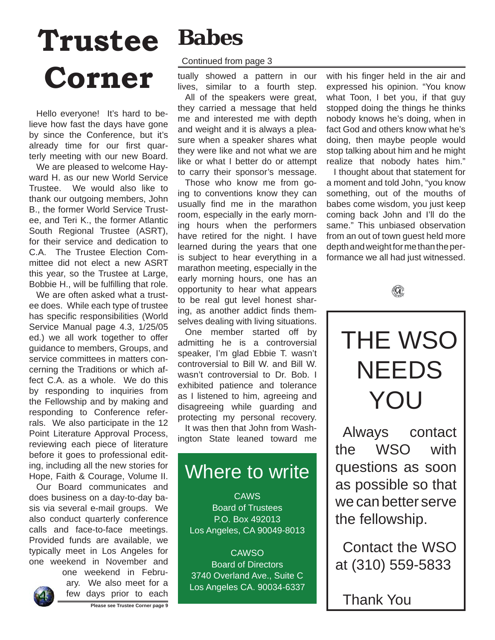# **Trustee Corner**

Hello everyone! It's hard to believe how fast the days have gone by since the Conference, but it's already time for our first quarterly meeting with our new Board.

We are pleased to welcome Hayward H. as our new World Service Trustee. We would also like to thank our outgoing members, John B., the former World Service Trustee, and Teri K., the former Atlantic South Regional Trustee (ASRT), for their service and dedication to C.A. The Trustee Election Committee did not elect a new ASRT this year, so the Trustee at Large, Bobbie H., will be fulfilling that role.

We are often asked what a trustee does. While each type of trustee has specific responsibilities (World Service Manual page 4.3, 1/25/05 ed.) we all work together to offer guidance to members, Groups, and service committees in matters concerning the Traditions or which affect C.A. as a whole. We do this by responding to inquiries from the Fellowship and by making and responding to Conference referrals. We also participate in the 12 Point Literature Approval Process, reviewing each piece of literature before it goes to professional editing, including all the new stories for Hope, Faith & Courage, Volume II.

Our Board communicates and does business on a day-to-day basis via several e-mail groups. We also conduct quarterly conference calls and face-to-face meetings. Provided funds are available, we typically meet in Los Angeles for one weekend in November and

one weekend in February. We also meet for a few days prior to each



# **Babes**

## Continued from page 3

tually showed a pattern in our lives, similar to a fourth step.

All of the speakers were great, they carried a message that held me and interested me with depth and weight and it is always a pleasure when a speaker shares what they were like and not what we are like or what I better do or attempt to carry their sponsor's message.

Those who know me from going to conventions know they can usually find me in the marathon room, especially in the early morning hours when the performers have retired for the night. I have learned during the years that one is subject to hear everything in a marathon meeting, especially in the early morning hours, one has an opportunity to hear what appears to be real gut level honest sharing, as another addict finds themselves dealing with living situations.

One member started off by admitting he is a controversial speaker, I'm glad Ebbie T. wasn't controversial to Bill W. and Bill W. wasn't controversial to Dr. Bob. I exhibited patience and tolerance as I listened to him, agreeing and disagreeing while guarding and protecting my personal recovery.

It was then that John from Washington State leaned toward me

# Where to write

**CAWS** Board of Trustees P.O. Box 492013 Los Angeles, CA 90049-8013

**CAWSO** Board of Directors 3740 Overland Ave., Suite C Los Angeles CA. 90034-6337 with his finger held in the air and expressed his opinion. "You know what Toon, I bet you, if that guy stopped doing the things he thinks nobody knows he's doing, when in fact God and others know what he's doing, then maybe people would stop talking about him and he might realize that nobody hates him."

I thought about that statement for a moment and told John, "you know something, out of the mouths of babes come wisdom, you just keep coming back John and I'll do the same." This unbiased observation from an out of town guest held more depth and weight for me than the performance we all had just witnessed.





Always contact the WSO with questions as soon as possible so that we can better serve the fellowship.

Contact the WSO at (310) 559-5833

Thank You

**Please see Trustee Corner page 9**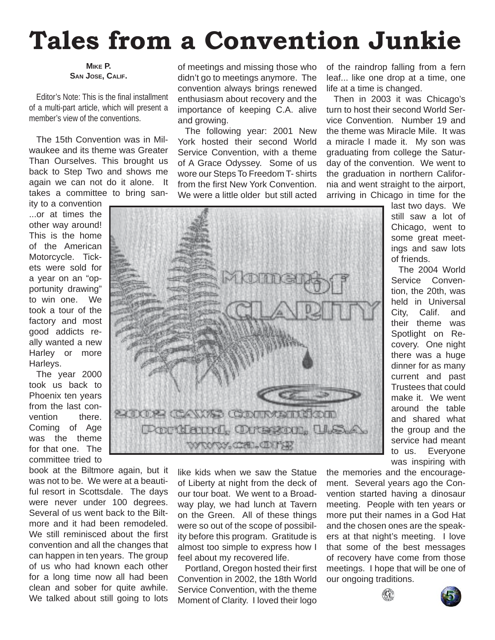# **Tales from a Convention Junkie**

#### **MIKE P. SAN JOSE, CALIF.**

Editor's Note: This is the final installment of a multi-part article, which will present a member's view of the conventions.

The 15th Convention was in Milwaukee and its theme was Greater Than Ourselves. This brought us back to Step Two and shows me again we can not do it alone. It takes a committee to bring san-

ity to a convention ...or at times the other way around! This is the home of the American Motorcycle. Tickets were sold for a year on an "opportunity drawing" to win one. We took a tour of the factory and most good addicts really wanted a new Harley or more Harleys.

The year 2000 took us back to Phoenix ten years from the last convention there. Coming of Age was the theme for that one. The committee tried to

book at the Biltmore again, but it was not to be. We were at a beautiful resort in Scottsdale. The days were never under 100 degrees. Several of us went back to the Biltmore and it had been remodeled. We still reminisced about the first convention and all the changes that can happen in ten years. The group of us who had known each other for a long time now all had been clean and sober for quite awhile. We talked about still going to lots

of meetings and missing those who didn't go to meetings anymore. The convention always brings renewed enthusiasm about recovery and the importance of keeping C.A. alive and growing.

The following year: 2001 New York hosted their second World Service Convention, with a theme of A Grace Odyssey. Some of us wore our Steps To Freedom T- shirts from the first New York Convention. We were a little older but still acted

of the raindrop falling from a fern leaf... like one drop at a time, one life at a time is changed.

Then in 2003 it was Chicago's turn to host their second World Service Convention. Number 19 and the theme was Miracle Mile. It was a miracle I made it. My son was graduating from college the Saturday of the convention. We went to the graduation in northern California and went straight to the airport, arriving in Chicago in time for the

last two days. We still saw a lot of Chicago, went to some great meetings and saw lots of friends.

The 2004 World Service Convention, the 20th, was held in Universal City, Calif. and their theme was Spotlight on Recovery. One night there was a huge dinner for as many current and past Trustees that could make it. We went around the table and shared what the group and the service had meant to us. Everyone was inspiring with

the memories and the encouragement. Several years ago the Convention started having a dinosaur meeting. People with ten years or more put their names in a God Hat and the chosen ones are the speakers at that night's meeting. I love that some of the best messages of recovery have come from those meetings. I hope that will be one of our ongoing traditions.







like kids when we saw the Statue of Liberty at night from the deck of our tour boat. We went to a Broadway play, we had lunch at Tavern on the Green. All of these things were so out of the scope of possibility before this program. Gratitude is almost too simple to express how I feel about my recovered life.

Portland, Oregon hosted their first Convention in 2002, the 18th World Service Convention, with the theme Moment of Clarity. I loved their logo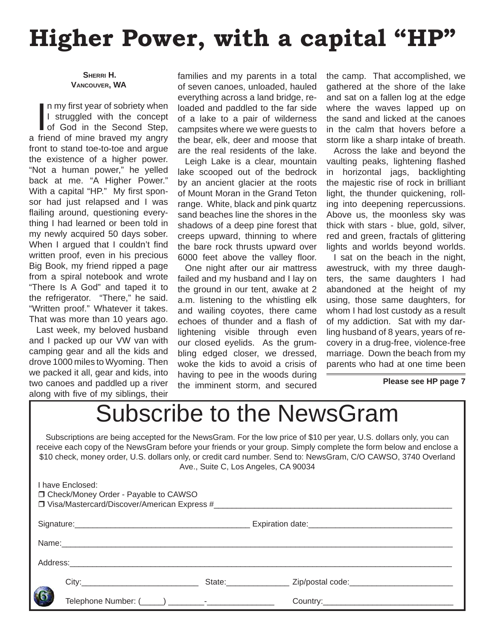# **Higher Power, with a capital "HP"**

 **SHERRI H. VANCOUVER, WA**

I a my first year of sobriety when<br>I struggled with the concept<br>of God in the Second Step,<br>a friend of mine braved my angry n my first year of sobriety when I struggled with the concept of God in the Second Step, front to stand toe-to-toe and argue the existence of a higher power. "Not a human power," he yelled back at me. "A Higher Power." With a capital "HP." My first sponsor had just relapsed and I was flailing around, questioning everything I had learned or been told in my newly acquired 50 days sober. When I argued that I couldn't find written proof, even in his precious Big Book, my friend ripped a page from a spiral notebook and wrote "There Is A God" and taped it to the refrigerator. "There," he said. "Written proof." Whatever it takes. That was more than 10 years ago.

Last week, my beloved husband and I packed up our VW van with camping gear and all the kids and drove 1000 miles to Wyoming. Then we packed it all, gear and kids, into two canoes and paddled up a river along with five of my siblings, their

families and my parents in a total of seven canoes, unloaded, hauled everything across a land bridge, reloaded and paddled to the far side of a lake to a pair of wilderness campsites where we were guests to the bear, elk, deer and moose that are the real residents of the lake.

Leigh Lake is a clear, mountain lake scooped out of the bedrock by an ancient glacier at the roots of Mount Moran in the Grand Teton range. White, black and pink quartz sand beaches line the shores in the shadows of a deep pine forest that creeps upward, thinning to where the bare rock thrusts upward over 6000 feet above the valley floor.

One night after our air mattress failed and my husband and I lay on the ground in our tent, awake at 2 a.m. listening to the whistling elk and wailing coyotes, there came echoes of thunder and a flash of lightening visible through even our closed eyelids. As the grumbling edged closer, we dressed, woke the kids to avoid a crisis of having to pee in the woods during the imminent storm, and secured the camp. That accomplished, we gathered at the shore of the lake and sat on a fallen log at the edge where the waves lapped up on the sand and licked at the canoes in the calm that hovers before a storm like a sharp intake of breath.

Across the lake and beyond the vaulting peaks, lightening flashed in horizontal jags, backlighting the majestic rise of rock in brilliant light, the thunder quickening, rolling into deepening repercussions. Above us, the moonless sky was thick with stars - blue, gold, silver, red and green, fractals of glittering lights and worlds beyond worlds.

I sat on the beach in the night, awestruck, with my three daughters, the same daughters I had abandoned at the height of my using, those same daughters, for whom I had lost custody as a result of my addiction. Sat with my darling husband of 8 years, years of recovery in a drug-free, violence-free marriage. Down the beach from my parents who had at one time been

**Please see HP page 7**

# Subscribe to the NewsGram

Subscriptions are being accepted for the NewsGram. For the low price of \$10 per year, U.S. dollars only, you can receive each copy of the NewsGram before your friends or your group. Simply complete the form below and enclose a \$10 check, money order, U.S. dollars only, or credit card number. Send to: NewsGram, C/O CAWSO, 3740 Overland Ave., Suite C, Los Angeles, CA 90034

|  | I have Enclosed:<br>□ Check/Money Order - Payable to CAWSO |                                               |
|--|------------------------------------------------------------|-----------------------------------------------|
|  |                                                            |                                               |
|  | Name: Name:                                                |                                               |
|  |                                                            |                                               |
|  |                                                            | State: Zip/postal code: Zip/postal community/ |
|  |                                                            |                                               |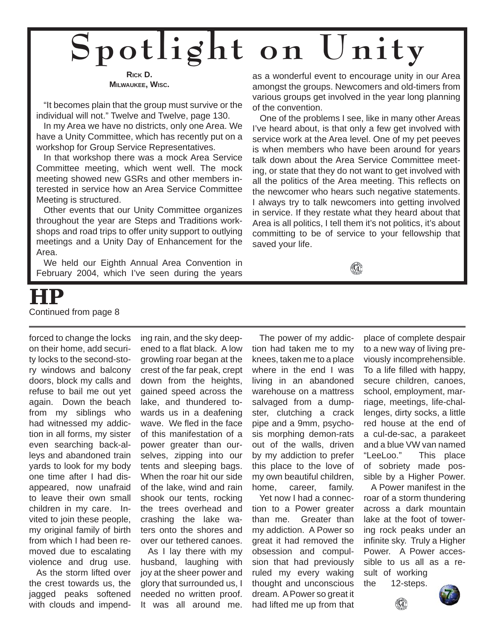# **Spotlight on Unity**

**RICK D. MILWAUKEE, WISC.**

"It becomes plain that the group must survive or the individual will not." Twelve and Twelve, page 130.

In my Area we have no districts, only one Area. We have a Unity Committee, which has recently put on a workshop for Group Service Representatives.

In that workshop there was a mock Area Service Committee meeting, which went well. The mock meeting showed new GSRs and other members interested in service how an Area Service Committee Meeting is structured.

Other events that our Unity Committee organizes throughout the year are Steps and Traditions workshops and road trips to offer unity support to outlying meetings and a Unity Day of Enhancement for the Area.

We held our Eighth Annual Area Convention in February 2004, which I've seen during the years

as a wonderful event to encourage unity in our Area amongst the groups. Newcomers and old-timers from various groups get involved in the year long planning of the convention.

One of the problems I see, like in many other Areas I've heard about, is that only a few get involved with service work at the Area level. One of my pet peeves is when members who have been around for years talk down about the Area Service Committee meeting, or state that they do not want to get involved with all the politics of the Area meeting. This reflects on the newcomer who hears such negative statements. I always try to talk newcomers into getting involved in service. If they restate what they heard about that Area is all politics, I tell them it's not politics, it's about committing to be of service to your fellowship that saved your life.

 $\mathbf{q}$ 

# **HP** Continued from page 8

forced to change the locks on their home, add security locks to the second-story windows and balcony doors, block my calls and refuse to bail me out yet again. Down the beach from my siblings who had witnessed my addiction in all forms, my sister even searching back-alleys and abandoned train yards to look for my body one time after I had disappeared, now unafraid to leave their own small children in my care. Invited to join these people, my original family of birth from which I had been removed due to escalating violence and drug use.

As the storm lifted over the crest towards us, the jagged peaks softened with clouds and impending rain, and the sky deepened to a flat black. A low growling roar began at the crest of the far peak, crept down from the heights, gained speed across the lake, and thundered towards us in a deafening wave. We fled in the face of this manifestation of a power greater than ourselves, zipping into our tents and sleeping bags. When the roar hit our side of the lake, wind and rain shook our tents, rocking the trees overhead and crashing the lake waters onto the shores and over our tethered canoes.

As I lay there with my husband, laughing with joy at the sheer power and glory that surrounded us, I needed no written proof. It was all around me.

The power of my addiction had taken me to my knees, taken me to a place where in the end I was living in an abandoned warehouse on a mattress salvaged from a dumpster, clutching a crack pipe and a 9mm, psychosis morphing demon-rats out of the walls, driven by my addiction to prefer this place to the love of my own beautiful children, home, career, family.

Yet now I had a connection to a Power greater than me. Greater than my addiction. A Power so great it had removed the obsession and compulsion that had previously ruled my every waking thought and unconscious dream. A Power so great it had lifted me up from that

place of complete despair to a new way of living previously incomprehensible. To a life filled with happy. secure children, canoes, school, employment, marriage, meetings, life-challenges, dirty socks, a little red house at the end of a cul-de-sac, a parakeet and a blue VW van named "LeeLoo." This place of sobriety made possible by a Higher Power.

A Power manifest in the roar of a storm thundering across a dark mountain lake at the foot of towering rock peaks under an infinite sky. Truly a Higher Power. A Power accessible to us all as a result of working



 $\langle \mathbf{G} \rangle$ 

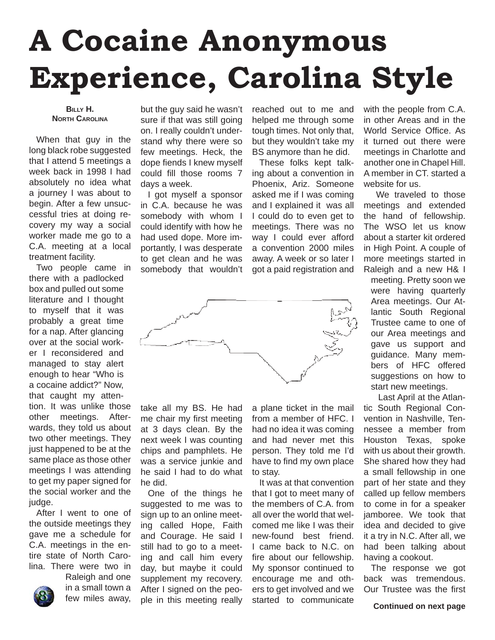# **A Cocaine Anonymous Experience, Carolina Style**

#### **BILLY H. NORTH CAROLINA**

When that guy in the long black robe suggested that I attend 5 meetings a week back in 1998 I had absolutely no idea what a journey I was about to begin. After a few unsuccessful tries at doing recovery my way a social worker made me go to a C.A. meeting at a local treatment facility.

Two people came in there with a padlocked box and pulled out some literature and I thought to myself that it was probably a great time for a nap. After glancing over at the social worker I reconsidered and managed to stay alert enough to hear "Who is a cocaine addict?" Now, that caught my attention. It was unlike those other meetings. Afterwards, they told us about two other meetings. They just happened to be at the same place as those other meetings I was attending to get my paper signed for the social worker and the judge.

After I went to one of the outside meetings they gave me a schedule for C.A. meetings in the entire state of North Carolina. There were two in

Raleigh and one

in a small town a few miles away, but the guy said he wasn't sure if that was still going on. I really couldn't understand why there were so few meetings. Heck, the dope fiends I knew myself could fill those rooms 7 days a week.

I got myself a sponsor in C.A. because he was somebody with whom I could identify with how he had used dope. More importantly, I was desperate to get clean and he was somebody that wouldn't

reached out to me and helped me through some tough times. Not only that, but they wouldn't take my BS anymore than he did.

These folks kept talking about a convention in Phoenix, Ariz. Someone asked me if I was coming and I explained it was all I could do to even get to meetings. There was no way I could ever afford a convention 2000 miles away. A week or so later I got a paid registration and



take all my BS. He had me chair my first meeting at 3 days clean. By the next week I was counting chips and pamphlets. He was a service junkie and he said I had to do what he did.

One of the things he suggested to me was to sign up to an online meeting called Hope, Faith and Courage. He said I still had to go to a meeting and call him every day, but maybe it could supplement my recovery. After I signed on the people in this meeting really

a plane ticket in the mail from a member of HFC. I had no idea it was coming and had never met this person. They told me I'd have to find my own place to stay.

It was at that convention that I got to meet many of the members of C.A. from all over the world that welcomed me like I was their new-found best friend. I came back to N.C. on fire about our fellowship. My sponsor continued to encourage me and others to get involved and we started to communicate

with the people from C.A. in other Areas and in the World Service Office. As it turned out there were meetings in Charlotte and another one in Chapel Hill. A member in CT. started a website for us.

 We traveled to those meetings and extended the hand of fellowship. The WSO let us know about a starter kit ordered in High Point. A couple of more meetings started in Raleigh and a new H& I

meeting. Pretty soon we were having quarterly Area meetings. Our Atlantic South Regional Trustee came to one of our Area meetings and gave us support and guidance. Many members of HFC offered suggestions on how to start new meetings.

Last April at the Atlantic South Regional Convention in Nashville, Tennessee a member from Houston Texas, spoke with us about their growth. She shared how they had a small fellowship in one part of her state and they called up fellow members to come in for a speaker jamboree. We took that idea and decided to give it a try in N.C. After all, we had been talking about having a cookout.

The response we got back was tremendous. Our Trustee was the first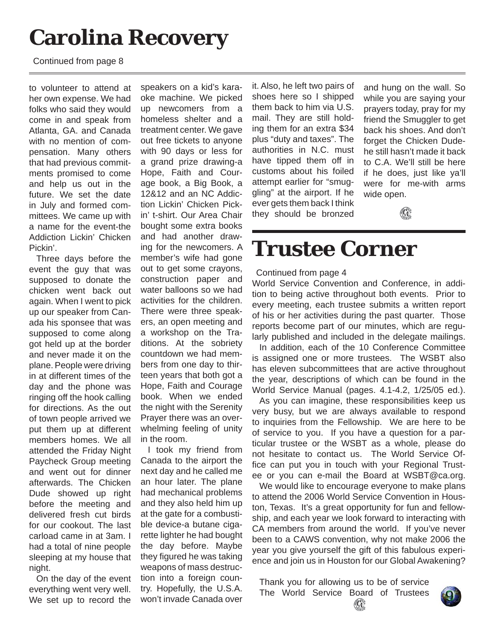# **Carolina Recovery**

Continued from page 8

to volunteer to attend at her own expense. We had folks who said they would come in and speak from Atlanta, GA. and Canada with no mention of compensation. Many others that had previous commitments promised to come and help us out in the future. We set the date in July and formed committees. We came up with a name for the event-the Addiction Lickin' Chicken Pickin'.

Three days before the event the guy that was supposed to donate the chicken went back out again. When I went to pick up our speaker from Canada his sponsee that was supposed to come along got held up at the border and never made it on the plane. People were driving in at different times of the day and the phone was ringing off the hook calling for directions. As the out of town people arrived we put them up at different members homes. We all attended the Friday Night Paycheck Group meeting and went out for dinner afterwards. The Chicken Dude showed up right before the meeting and delivered fresh cut birds for our cookout. The last carload came in at 3am. I had a total of nine people sleeping at my house that night.

On the day of the event everything went very well. We set up to record the

speakers on a kid's karaoke machine. We picked up newcomers from a homeless shelter and a treatment center. We gave out free tickets to anyone with 90 days or less for a grand prize drawing-a Hope, Faith and Courage book, a Big Book, a 12&12 and an NC Addiction Lickin' Chicken Pickin' t-shirt. Our Area Chair bought some extra books and had another drawing for the newcomers. A member's wife had gone out to get some crayons, construction paper and water balloons so we had activities for the children. There were three speakers, an open meeting and a workshop on the Traditions. At the sobriety countdown we had members from one day to thirteen years that both got a Hope, Faith and Courage book. When we ended the night with the Serenity Prayer there was an overwhelming feeling of unity in the room.

I took my friend from Canada to the airport the next day and he called me an hour later. The plane had mechanical problems and they also held him up at the gate for a combustible device-a butane cigarette lighter he had bought the day before. Maybe they figured he was taking weapons of mass destruction into a foreign country. Hopefully, the U.S.A. won't invade Canada over it. Also, he left two pairs of shoes here so I shipped them back to him via U.S. mail. They are still holding them for an extra \$34 plus "duty and taxes". The authorities in N.C. must have tipped them off in customs about his foiled attempt earlier for "smuggling" at the airport. If he ever gets them back I think they should be bronzed

and hung on the wall. So while you are saying your prayers today, pray for my friend the Smuggler to get back his shoes. And don't forget the Chicken Dudehe still hasn't made it back to C.A. We'll still be here if he does, just like ya'll were for me-with arms wide open.



# **Trustee Corner**

#### Continued from page 4

World Service Convention and Conference, in addition to being active throughout both events. Prior to every meeting, each trustee submits a written report of his or her activities during the past quarter. Those reports become part of our minutes, which are regularly published and included in the delegate mailings.

In addition, each of the 10 Conference Committee is assigned one or more trustees. The WSBT also has eleven subcommittees that are active throughout the year, descriptions of which can be found in the World Service Manual (pages. 4.1-4.2, 1/25/05 ed.).

As you can imagine, these responsibilities keep us very busy, but we are always available to respond to inquiries from the Fellowship. We are here to be of service to you. If you have a question for a particular trustee or the WSBT as a whole, please do not hesitate to contact us. The World Service Office can put you in touch with your Regional Trustee or you can e-mail the Board at WSBT@ca.org.

We would like to encourage everyone to make plans to attend the 2006 World Service Convention in Houston, Texas. It's a great opportunity for fun and fellowship, and each year we look forward to interacting with CA members from around the world. If you've never been to a CAWS convention, why not make 2006 the year you give yourself the gift of this fabulous experience and join us in Houston for our Global Awakening?

Thank you for allowing us to be of service The World Service Board of Trustees $\left(\mathbf{G}\right)$ 

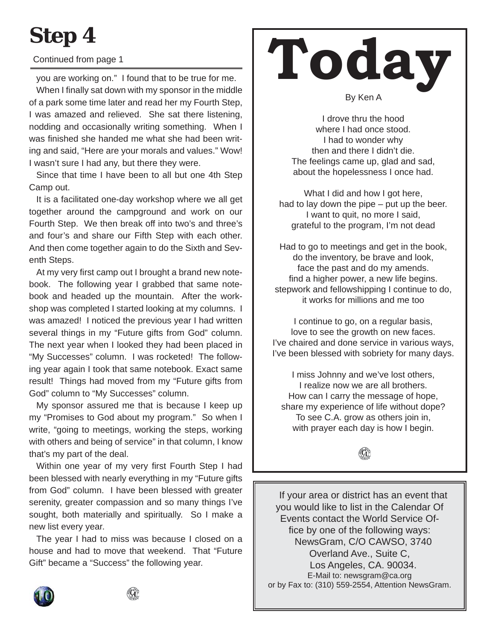# **Step 4**

## Continued from page 1

you are working on." I found that to be true for me.

When I finally sat down with my sponsor in the middle of a park some time later and read her my Fourth Step, I was amazed and relieved. She sat there listening, nodding and occasionally writing something. When I was finished she handed me what she had been writing and said, "Here are your morals and values." Wow! I wasn't sure I had any, but there they were.

Since that time I have been to all but one 4th Step Camp out.

It is a facilitated one-day workshop where we all get together around the campground and work on our Fourth Step. We then break off into two's and three's and four's and share our Fifth Step with each other. And then come together again to do the Sixth and Seventh Steps.

At my very first camp out I brought a brand new notebook. The following year I grabbed that same notebook and headed up the mountain. After the workshop was completed I started looking at my columns. I was amazed! I noticed the previous year I had written several things in my "Future gifts from God" column. The next year when I looked they had been placed in "My Successes" column. I was rocketed! The following year again I took that same notebook. Exact same result! Things had moved from my "Future gifts from God" column to "My Successes" column.

My sponsor assured me that is because I keep up my "Promises to God about my program." So when I write, "going to meetings, working the steps, working with others and being of service" in that column, I know that's my part of the deal.

Within one year of my very first Fourth Step I had been blessed with nearly everything in my "Future gifts from God" column. I have been blessed with greater serenity, greater compassion and so many things I've sought, both materially and spiritually. So I make a new list every year.

The year I had to miss was because I closed on a house and had to move that weekend. That "Future Gift" became a "Success" the following year.

# **Today**

By Ken A

I drove thru the hood where I had once stood. I had to wonder why then and there I didn't die. The feelings came up, glad and sad, about the hopelessness I once had.

What I did and how I got here, had to lay down the pipe – put up the beer. I want to quit, no more I said, grateful to the program, I'm not dead

Had to go to meetings and get in the book, do the inventory, be brave and look, face the past and do my amends. find a higher power, a new life begins. stepwork and fellowshipping I continue to do, it works for millions and me too

I continue to go, on a regular basis, love to see the growth on new faces. I've chaired and done service in various ways, I've been blessed with sobriety for many days.

I miss Johnny and we've lost others, I realize now we are all brothers. How can I carry the message of hope, share my experience of life without dope? To see C.A. grow as others join in, with prayer each day is how I begin.

If your area or district has an event that you would like to list in the Calendar Of Events contact the World Service Office by one of the following ways: NewsGram, C/O CAWSO, 3740 Overland Ave., Suite C, Los Angeles, CA. 90034. E-Mail to: newsgram@ca.org or by Fax to: (310) 559-2554, Attention NewsGram.

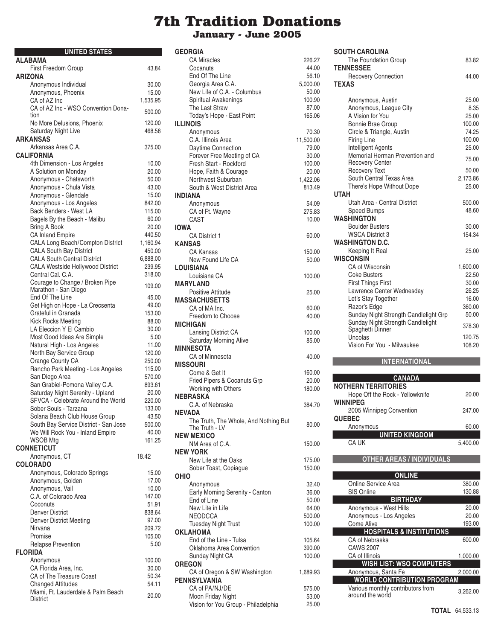# **7th Tradition Donations January - June 2005**

| <b>UNITED STATES</b>                                        |                    |
|-------------------------------------------------------------|--------------------|
| <b>ALABAMA</b>                                              |                    |
| First Freedom Group                                         | 43.84              |
| <b>ARIZONA</b><br>Anonymous Individual                      | 30.00              |
| Anonymous, Phoenix                                          | 15.00              |
| CA of AZ Inc                                                | 1,535.95           |
| CA of AZ Inc - WSO Convention Dona-                         | 500.00             |
| tion<br>No More Delusions, Phoenix                          | 120.00             |
| Saturday Night Live                                         | 468.58             |
| <b>ARKANSAS</b>                                             |                    |
| Arkansas Area C.A.<br>CALIFORNIA                            | 375.00             |
| 4th Dimension - Los Angeles                                 | 10.00              |
| A Solution on Monday                                        | 20.00              |
| Anonymous - Chatsworth                                      | 50.00              |
| Anonymous - Chula Vista                                     | 43.00              |
| Anonymous - Glendale                                        | 15.00              |
| Anonymous - Los Angeles                                     | 842.00             |
| Back Benders - West LA                                      | 115.00             |
| Bagels By the Beach - Malibu                                | 60.00              |
| Bring A Book                                                | 20.00              |
| <b>CA Inland Empire</b><br>CALA Long Beach/Compton District | 440.50             |
| <b>CALA South Bay District</b>                              | 1,160.94<br>450.00 |
| <b>CALA South Central District</b>                          | 6,888.00           |
| CALA Westside Hollywood District                            | 239.95             |
| Central Cal. C.A.                                           | 318.00             |
| Courage to Change / Broken Pipe<br>Marathon - San Diego     | 109.00             |
| End Of The Line                                             | 45.00              |
| Get High on Hope - La Crecsenta                             | 49.00              |
| Grateful in Granada                                         | 153.00             |
| <b>Kick Rocks Meeting</b>                                   | 88.00              |
| LA Eleccion Y El Cambio                                     | 30.00              |
| Most Good Ideas Are Simple                                  | 5.00               |
| Natural High - Los Angeles                                  | 11.00              |
| North Bay Service Group                                     | 120.00             |
| Orange County CA<br>Rancho Park Meeting - Los Angeles       | 250.00             |
| San Diego Area                                              | 115.00<br>570.00   |
| San Grabiel-Pomona Valley C.A.                              | 893.61             |
| Saturday Night Serenity - Upland                            | 20.00              |
| SFVCA - Celebrate Around the World                          | 220.00             |
| Sober Souls - Tarzana                                       | 133.00             |
| Solana Beach Club House Group                               | 43.50              |
| South Bay Service District - San Jose                       | 500.00             |
| We Will Rock You - Inland Empire                            | 40.00              |
| <b>WSOB Mtg</b>                                             | 161.25             |
| <b>CONNETICUT</b>                                           |                    |
| Anonymous, CT                                               | 18.42              |
| <b>COLORADO</b><br>Anonymous, Colorado Springs              | 15.00              |
| Anonymous, Golden                                           | 17.00              |
| Anonymous, Vail                                             | 10.00              |
| C.A. of Colorado Area                                       | 147.00             |
| Coconuts                                                    | 51.91              |
| <b>Denver District</b>                                      | 838.64             |
| <b>Denver District Meeting</b>                              | 97.00              |
| Nirvana                                                     | 209.72             |
| Promise                                                     | 105.00             |
| <b>Relapse Prevention</b>                                   | 5.00               |
| <b>FLORIDA</b>                                              |                    |
| Anonymous<br>CA Florida Area, Inc.                          | 100.00             |
| CA of The Treasure Coast                                    | 30.00<br>50.34     |
| <b>Changed Attitudes</b>                                    | 54.11              |
| Miami, Ft. Lauderdale & Palm Beach                          |                    |
| District                                                    | 20.00              |

| <b>GEORGIA</b>                                       |                   |
|------------------------------------------------------|-------------------|
| <b>CA Miracles</b>                                   | 226.27            |
| Cocanuts                                             | 44.00             |
| End Of The Line                                      | 56.10             |
| Georgia Area C.A.<br>New Life of C.A. - Columbus     | 5,000.00<br>50.00 |
| Spiritual Awakenings                                 | 100.90            |
| The Last Straw                                       | 87.00             |
| Today's Hope - East Point                            | 165.06            |
| <b>ILLINOIS</b>                                      |                   |
| Anonymous                                            | 70.30             |
| C.A. Illinois Area                                   | 11,500.00         |
| Daytime Connection                                   | 79.00             |
| Forever Free Meeting of CA<br>Fresh Start - Rockford | 30.00             |
| Hope, Faith & Courage                                | 100.00<br>20.00   |
| Northwest Suburban                                   | 1,422.06          |
| South & West District Area                           | 813.49            |
| INDIANA                                              |                   |
| Anonymous                                            | 54.09             |
| CA of Ft. Wayne                                      | 275.83            |
| CAST                                                 | 10.00             |
| IOWA                                                 |                   |
| <b>CA District 1</b>                                 | 60.00             |
| <b>KANSAS</b>                                        |                   |
| <b>CA Kansas</b><br>New Found Life CA                | 150.00<br>50.00   |
| <b>LOUISIANA</b>                                     |                   |
| Louisiana CA                                         | 100.00            |
| <b>MARYLAND</b>                                      |                   |
| Positive Attitude                                    | 25.00             |
| <b>MASSACHUSETTS</b>                                 |                   |
| CA of MA Inc.                                        | 60.00             |
| Freedom to Choose                                    | 40.00             |
| <b>MICHIGAN</b>                                      |                   |
| Lansing District CA<br>Saturday Morning Alive        | 100.00            |
| <b>MINNESOTA</b>                                     | 85.00             |
| CA of Minnesota                                      | 40.00             |
| <b>MISSOURI</b>                                      |                   |
| Come & Get It                                        | 160.00            |
| Fried Pipers & Cocanuts Grp                          | 20.00             |
| Working with Others                                  | 180.00            |
| <b>NEBRASKA</b>                                      |                   |
| C.A. of Nebraska                                     | 384.70            |
| NEVADA<br>The Truth, The Whole, And Nothing But      |                   |
| The Truth - LV                                       | 80.00             |
| <b>NEW MEXICO</b>                                    |                   |
| NM Area of C.A.                                      | 150.00            |
| NEW YORK                                             |                   |
| New Life at the Oaks                                 | 175.00            |
| Sober Toast, Copiague                                | 150.00            |
| OHIO                                                 |                   |
| Anonymous                                            | 32.40             |
| Early Morning Serenity - Canton<br>End of Line       | 36.00<br>50.00    |
| New Lite in Life                                     | 64.00             |
| <b>NEODCCA</b>                                       | 500.00            |
| <b>Tuesday Night Trust</b>                           | 100.00            |
| OKLAHOMA                                             |                   |
| End of the Line - Tulsa                              | 105.64            |
| Oklahoma Area Convention                             | 390.00            |
| Sunday Night CA                                      | 100.00            |
| <b>OREGON</b>                                        |                   |
| CA of Oregon & SW Washington                         | 1,689.93          |
| PENNSYLVANIA<br>CA of PA/NJ/DE                       | 575.00            |
| Moon Friday Night                                    | 53.00             |
| Vision for You Group - Philadelphia                  | 25.00             |
|                                                      |                   |

| <b>SOUTH CAROLINA</b>                                    |          |
|----------------------------------------------------------|----------|
| The Foundation Group                                     | 83.82    |
| <b>TENNESSEE</b>                                         |          |
| <b>Recovery Connection</b>                               | 44.00    |
| <b>TEXAS</b>                                             |          |
| Anonymous, Austin                                        | 25.00    |
| Anonymous, League City                                   | 8.35     |
| A Vision for You                                         | 25.00    |
| <b>Bonnie Brae Group</b>                                 | 100.00   |
| Circle & Triangle, Austin                                | 74.25    |
| <b>Firing Line</b>                                       | 100.00   |
| <b>Intelligent Agents</b>                                | 25.00    |
| Memorial Herman Prevention and<br><b>Recovery Center</b> | 75.00    |
| <b>Recovery Text</b>                                     | 50.00    |
| South Central Texas Area                                 | 2,173.86 |
| There's Hope Without Dope                                | 25.00    |
| <b>UTAH</b>                                              |          |
| Utah Area - Central District                             | 500.00   |
| <b>Speed Bumps</b>                                       | 48.60    |
| <b>WASHINGTON</b>                                        |          |
| <b>Boulder Busters</b>                                   | 30.00    |
| <b>WSCA District 3</b>                                   | 154.34   |
| <b>WASHINGTON D.C.</b>                                   |          |
| Keeping It Real                                          | 25.00    |
| <b>WISCONSIN</b>                                         |          |
| CA of Wisconsin                                          | 1,600.00 |
| <b>Coke Busters</b>                                      | 22.50    |
| <b>First Things First</b>                                | 30.00    |
| Lawrence Center Wednesday                                | 26.25    |
| Let's Stay Together                                      | 16.00    |
| Razor's Edge                                             | 360.00   |
| Sunday Night Strength Candlelight Grp                    | 50.00    |
| Sunday Night Strength Candlelight<br>Spaghetti Dinner    | 378.30   |
| Uncolas                                                  | 120.75   |
| Vision For You - Milwaukee                               | 108.20   |
|                                                          |          |

#### **INTERNATIONAL**

| <b>CANADA</b>                   |          |
|---------------------------------|----------|
| <b>NOTHERN TERRITORIES</b>      |          |
| Hope Off the Rock - Yellowknife | 20.00    |
| <b>WINNIPEG</b>                 |          |
| 2005 Winnipeg Convention        | 247.00   |
| <b>QUEBEC</b>                   |          |
| Anonymous                       | 60.00    |
| <b>UNITED KINGDOM</b>           |          |
| CA UK                           | 5.400.00 |
|                                 |          |

## **OTHER AREAS / INDIVIDUALS**

| <b>ONLINE</b>                                         |          |
|-------------------------------------------------------|----------|
| Online Service Area                                   | 380.00   |
| SIS Online                                            | 130.88   |
| <b>BIRTHDAY</b>                                       |          |
| Anonymous - West Hills                                | 20.00    |
| Anonymous - Los Angeles                               | 20.00    |
| Come Alive                                            | 193.00   |
| <b>HOSPITALS &amp; INSTITUTIONS</b>                   |          |
| CA of Nebraska                                        | 600.00   |
| <b>CAWS 2007</b>                                      |          |
| CA of Illinois                                        | 1,000.00 |
| <b>WISH LIST: WSO COMPUTERS</b>                       |          |
| Anonymous, Santa Fe                                   | 2.000.00 |
| <b>WORLD CONTRIBUTION PROGRAM</b>                     |          |
| Various monthly contributors from<br>around the world | 3.262.00 |